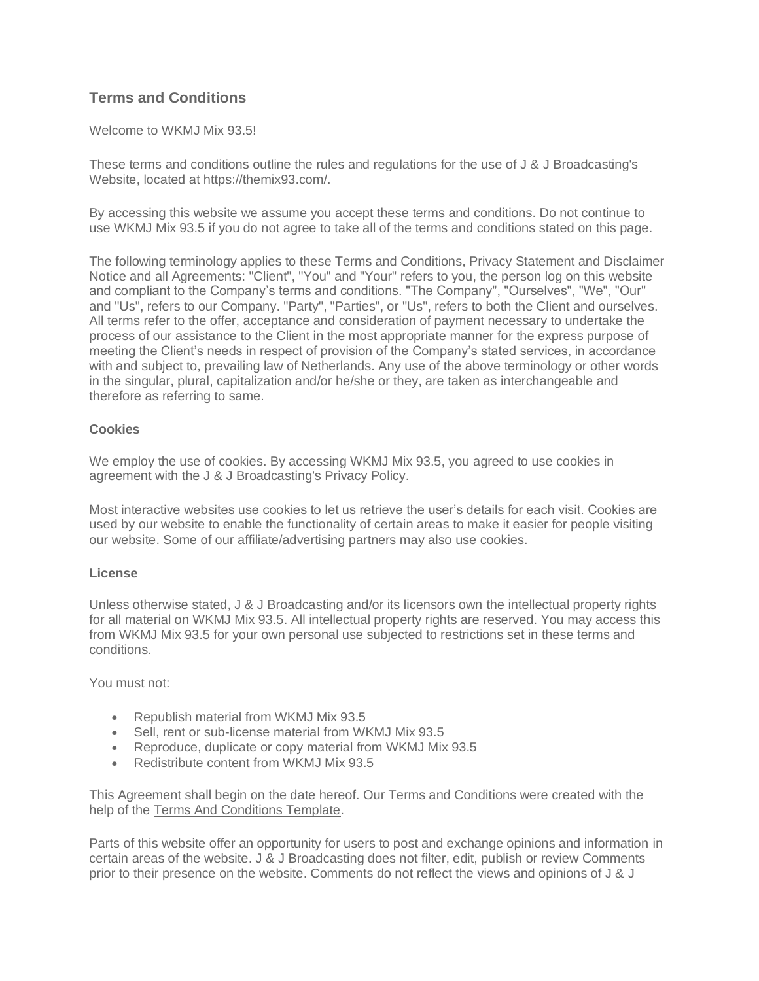# **Terms and Conditions**

## Welcome to WKMJ Mix 93.5!

These terms and conditions outline the rules and regulations for the use of J & J Broadcasting's Website, located at https://themix93.com/.

By accessing this website we assume you accept these terms and conditions. Do not continue to use WKMJ Mix 93.5 if you do not agree to take all of the terms and conditions stated on this page.

The following terminology applies to these Terms and Conditions, Privacy Statement and Disclaimer Notice and all Agreements: "Client", "You" and "Your" refers to you, the person log on this website and compliant to the Company's terms and conditions. "The Company", "Ourselves", "We", "Our" and "Us", refers to our Company. "Party", "Parties", or "Us", refers to both the Client and ourselves. All terms refer to the offer, acceptance and consideration of payment necessary to undertake the process of our assistance to the Client in the most appropriate manner for the express purpose of meeting the Client's needs in respect of provision of the Company's stated services, in accordance with and subject to, prevailing law of Netherlands. Any use of the above terminology or other words in the singular, plural, capitalization and/or he/she or they, are taken as interchangeable and therefore as referring to same.

## **Cookies**

We employ the use of cookies. By accessing WKMJ Mix 93.5, you agreed to use cookies in agreement with the J & J Broadcasting's Privacy Policy.

Most interactive websites use cookies to let us retrieve the user's details for each visit. Cookies are used by our website to enable the functionality of certain areas to make it easier for people visiting our website. Some of our affiliate/advertising partners may also use cookies.

## **License**

Unless otherwise stated, J & J Broadcasting and/or its licensors own the intellectual property rights for all material on WKMJ Mix 93.5. All intellectual property rights are reserved. You may access this from WKMJ Mix 93.5 for your own personal use subjected to restrictions set in these terms and conditions.

You must not:

- Republish material from WKMJ Mix 93.5
- Sell, rent or sub-license material from WKMJ Mix 93.5
- Reproduce, duplicate or copy material from WKMJ Mix 93.5
- Redistribute content from WKMJ Mix 93.5

This Agreement shall begin on the date hereof. Our Terms and Conditions were created with the help of the [Terms And Conditions Template.](https://www.privacypolicies.com/blog/sample-terms-conditions-template/)

Parts of this website offer an opportunity for users to post and exchange opinions and information in certain areas of the website. J & J Broadcasting does not filter, edit, publish or review Comments prior to their presence on the website. Comments do not reflect the views and opinions of J & J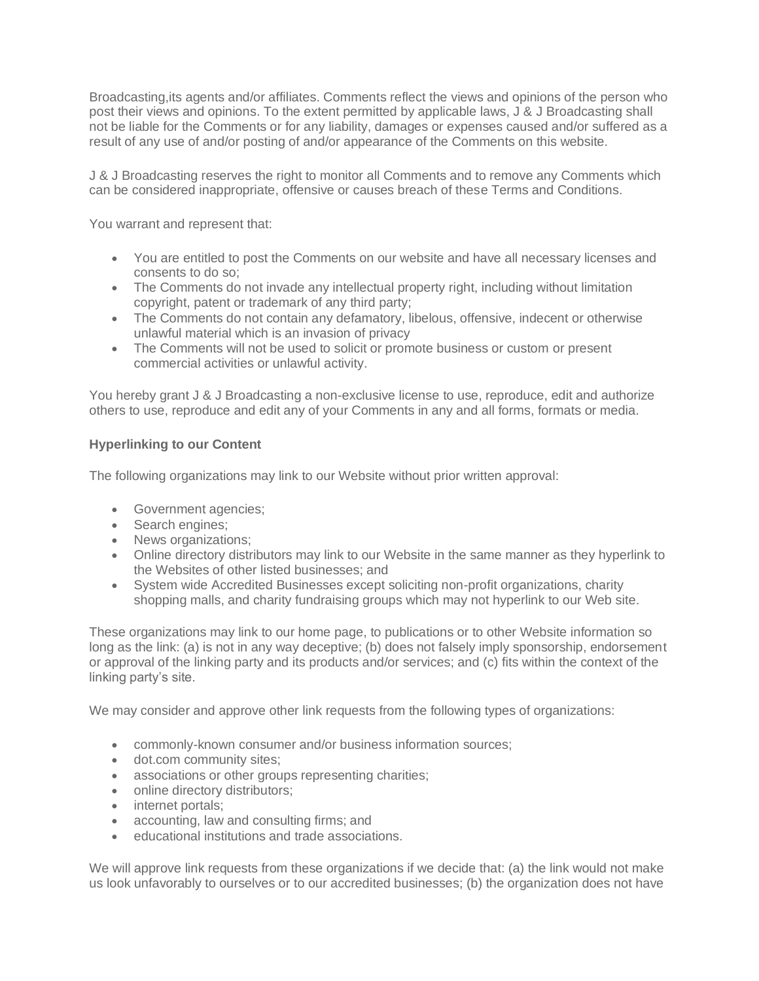Broadcasting,its agents and/or affiliates. Comments reflect the views and opinions of the person who post their views and opinions. To the extent permitted by applicable laws, J & J Broadcasting shall not be liable for the Comments or for any liability, damages or expenses caused and/or suffered as a result of any use of and/or posting of and/or appearance of the Comments on this website.

J & J Broadcasting reserves the right to monitor all Comments and to remove any Comments which can be considered inappropriate, offensive or causes breach of these Terms and Conditions.

You warrant and represent that:

- You are entitled to post the Comments on our website and have all necessary licenses and consents to do so;
- The Comments do not invade any intellectual property right, including without limitation copyright, patent or trademark of any third party;
- The Comments do not contain any defamatory, libelous, offensive, indecent or otherwise unlawful material which is an invasion of privacy
- The Comments will not be used to solicit or promote business or custom or present commercial activities or unlawful activity.

You hereby grant J & J Broadcasting a non-exclusive license to use, reproduce, edit and authorize others to use, reproduce and edit any of your Comments in any and all forms, formats or media.

## **Hyperlinking to our Content**

The following organizations may link to our Website without prior written approval:

- Government agencies;
- Search engines;
- News organizations:
- Online directory distributors may link to our Website in the same manner as they hyperlink to the Websites of other listed businesses; and
- System wide Accredited Businesses except soliciting non-profit organizations, charity shopping malls, and charity fundraising groups which may not hyperlink to our Web site.

These organizations may link to our home page, to publications or to other Website information so long as the link: (a) is not in any way deceptive; (b) does not falsely imply sponsorship, endorsement or approval of the linking party and its products and/or services; and (c) fits within the context of the linking party's site.

We may consider and approve other link requests from the following types of organizations:

- commonly-known consumer and/or business information sources;
- dot.com community sites;
- associations or other groups representing charities;
- online directory distributors;
- internet portals;
- accounting, law and consulting firms; and
- educational institutions and trade associations.

We will approve link requests from these organizations if we decide that: (a) the link would not make us look unfavorably to ourselves or to our accredited businesses; (b) the organization does not have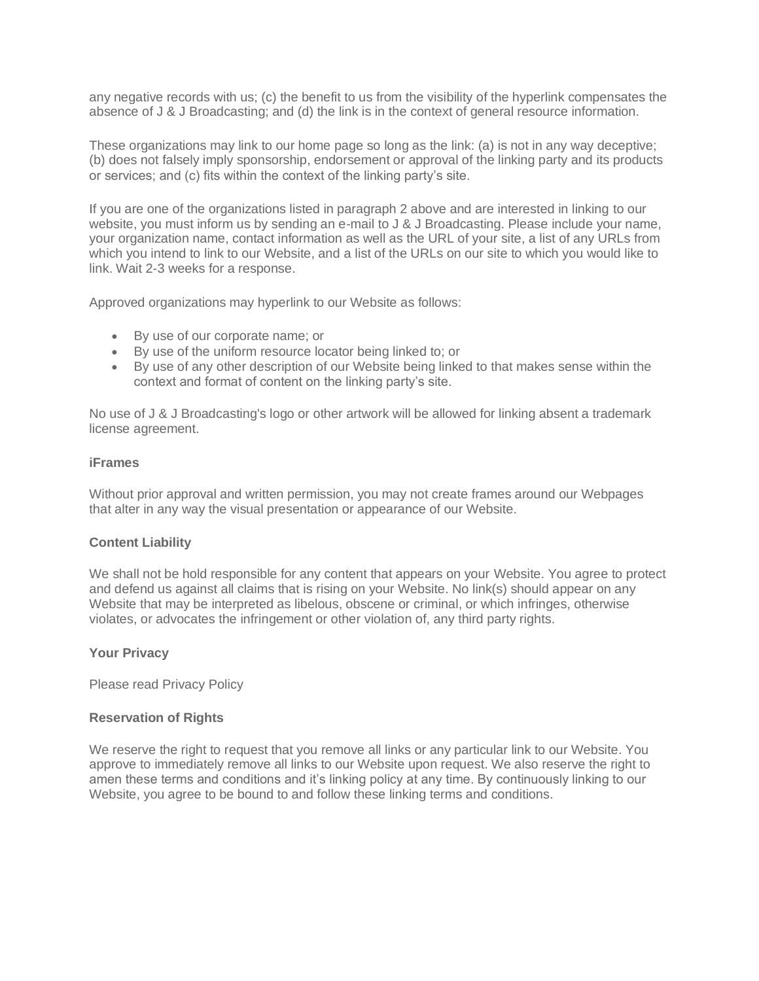any negative records with us; (c) the benefit to us from the visibility of the hyperlink compensates the absence of J & J Broadcasting; and (d) the link is in the context of general resource information.

These organizations may link to our home page so long as the link: (a) is not in any way deceptive; (b) does not falsely imply sponsorship, endorsement or approval of the linking party and its products or services; and (c) fits within the context of the linking party's site.

If you are one of the organizations listed in paragraph 2 above and are interested in linking to our website, you must inform us by sending an e-mail to J & J Broadcasting. Please include your name, your organization name, contact information as well as the URL of your site, a list of any URLs from which you intend to link to our Website, and a list of the URLs on our site to which you would like to link. Wait 2-3 weeks for a response.

Approved organizations may hyperlink to our Website as follows:

- By use of our corporate name; or
- By use of the uniform resource locator being linked to; or
- By use of any other description of our Website being linked to that makes sense within the context and format of content on the linking party's site.

No use of J & J Broadcasting's logo or other artwork will be allowed for linking absent a trademark license agreement.

## **iFrames**

Without prior approval and written permission, you may not create frames around our Webpages that alter in any way the visual presentation or appearance of our Website.

#### **Content Liability**

We shall not be hold responsible for any content that appears on your Website. You agree to protect and defend us against all claims that is rising on your Website. No link(s) should appear on any Website that may be interpreted as libelous, obscene or criminal, or which infringes, otherwise violates, or advocates the infringement or other violation of, any third party rights.

#### **Your Privacy**

Please read Privacy Policy

#### **Reservation of Rights**

We reserve the right to request that you remove all links or any particular link to our Website. You approve to immediately remove all links to our Website upon request. We also reserve the right to amen these terms and conditions and it's linking policy at any time. By continuously linking to our Website, you agree to be bound to and follow these linking terms and conditions.